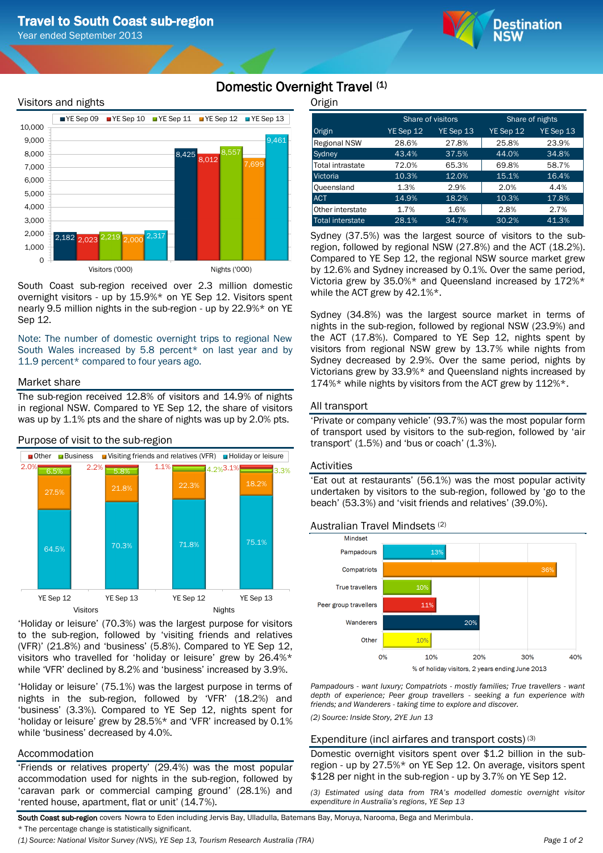Year ended September 2013



# Visitors and nights



South Coast sub-region received over 2.3 million domestic overnight visitors - up by 15.9%\* on YE Sep 12. Visitors spent nearly 9.5 million nights in the sub-region - up by 22.9%\* on YE Sep 12.

Note: The number of domestic overnight trips to regional New South Wales increased by 5.8 percent\* on last year and by 11.9 percent\* compared to four years ago.

# Market share

The sub-region received 12.8% of visitors and 14.9% of nights in regional NSW. Compared to YE Sep 12, the share of visitors was up by 1.1% pts and the share of nights was up by 2.0% pts.



Purpose of visit to the sub-region

'Holiday or leisure' (70.3%) was the largest purpose for visitors to the sub-region, followed by 'visiting friends and relatives (VFR)' (21.8%) and 'business' (5.8%). Compared to YE Sep 12, visitors who travelled for 'holiday or leisure' grew by 26.4%\* while 'VFR' declined by 8.2% and 'business' increased by 3.9%.

'Holiday or leisure' (75.1%) was the largest purpose in terms of nights in the sub-region, followed by 'VFR' (18.2%) and 'business' (3.3%). Compared to YE Sep 12, nights spent for 'holiday or leisure' grew by 28.5%\* and 'VFR' increased by 0.1% while 'business' decreased by 4.0%.

# Accommodation

'Friends or relatives property' (29.4%) was the most popular accommodation used for nights in the sub-region, followed by 'caravan park or commercial camping ground' (28.1%) and 'rented house, apartment, flat or unit' (14.7%).

**Origin** 

Domestic Overnight Travel (1)

| ີ                       |           |                   |                 |           |  |
|-------------------------|-----------|-------------------|-----------------|-----------|--|
|                         |           | Share of visitors | Share of nights |           |  |
| Origin                  | YE Sep 12 | YE Sep 13         | YE Sep 12       | YE Sep 13 |  |
| <b>Regional NSW</b>     | 28.6%     | 27.8%             | 25.8%           | 23.9%     |  |
| Sydney                  | 43.4%     | 37.5%             | 44.0%           | 34.8%     |  |
| <b>Total intrastate</b> | 72.0%     | 65.3%             | 69.8%           | 58.7%     |  |
| Victoria                | 10.3%     | 12.0%             | 15.1%           | 16.4%     |  |
| Queensland              | 1.3%      | 2.9%              | 2.0%            | 4.4%      |  |
| <b>ACT</b>              | 14.9%     | 18.2%             | 10.3%           | 17.8%     |  |
| Other interstate        | 1.7%      | 1.6%              | 2.8%            | 2.7%      |  |
| <b>Total interstate</b> | 28.1%     | 34.7%             | 30.2%           | 41.3%     |  |

Sydney (37.5%) was the largest source of visitors to the subregion, followed by regional NSW (27.8%) and the ACT (18.2%). Compared to YE Sep 12, the regional NSW source market grew by 12.6% and Sydney increased by 0.1%. Over the same period, Victoria grew by 35.0%\* and Queensland increased by 172%\* while the ACT grew by 42.1%\*.

Sydney (34.8%) was the largest source market in terms of nights in the sub-region, followed by regional NSW (23.9%) and the ACT (17.8%). Compared to YE Sep 12, nights spent by visitors from regional NSW grew by 13.7% while nights from Sydney decreased by 2.9%. Over the same period, nights by Victorians grew by 33.9%\* and Queensland nights increased by 174%\* while nights by visitors from the ACT grew by 112%\*.

# All transport

'Private or company vehicle' (93.7%) was the most popular form of transport used by visitors to the sub-region, followed by 'air transport' (1.5%) and 'bus or coach' (1.3%).

# Activities

'Eat out at restaurants' (56.1%) was the most popular activity undertaken by visitors to the sub-region, followed by 'go to the beach' (53.3%) and 'visit friends and relatives' (39.0%).





*Pampadours - want luxury; Compatriots - mostly families; True travellers - want depth of experience; Peer group travellers - seeking a fun experience with friends; and Wanderers - taking time to explore and discover.*

*(2) Source: Inside Story, 2YE Jun 13*

# Expenditure (incl airfares and transport costs) (3)

Domestic overnight visitors spent over \$1.2 billion in the subregion - up by 27.5%\* on YE Sep 12. On average, visitors spent \$128 per night in the sub-region - up by 3.7% on YE Sep 12.

*(3) Estimated using data from TRA's modelled domestic overnight visitor expenditure in Australia's regions, YE Sep 13*

South Coast sub-region covers Nowra to Eden including Jervis Bay, Ulladulla, Batemans Bay, Moruya, Narooma, Bega and Merimbula.

\* The percentage change is statistically significant.